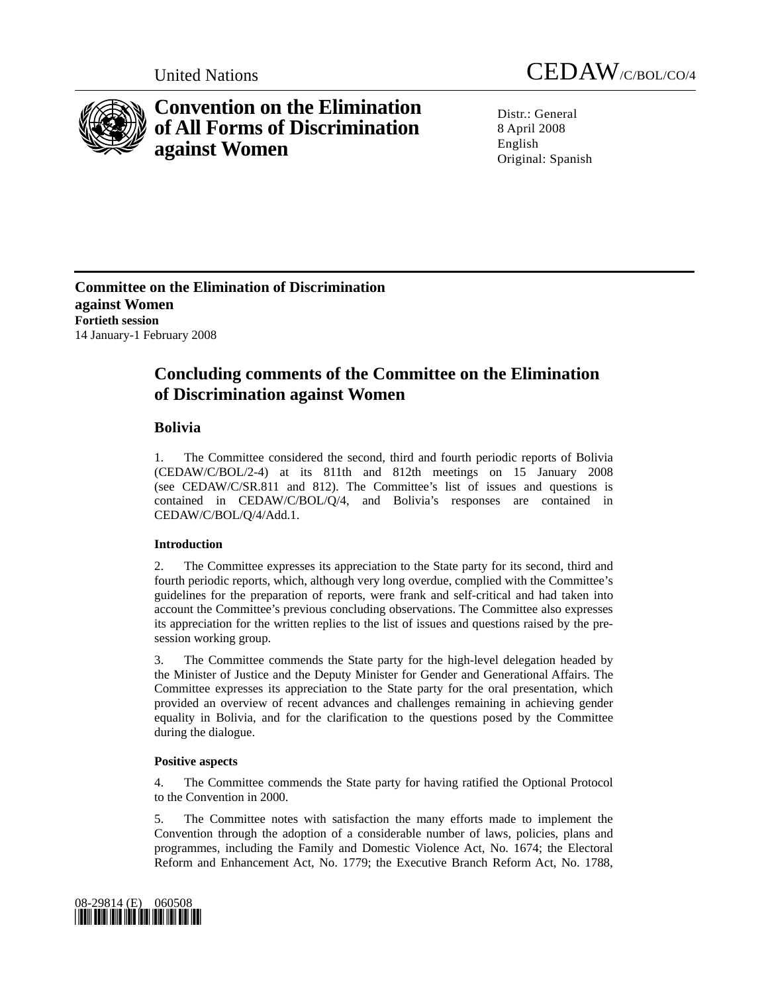

# **Convention on the Elimination of All Forms of Discrimination against Women**

United Nations CEDAW/C/BOL/CO/4

 $Distr: General$ 8 April 2008 English Original: Spanish

**Committee on the Elimination of Discrimination against Women Fortieth session**  14 January-1 February 2008

## **Concluding comments of the Committee on the Elimination of Discrimination against Women**

### **Bolivia**

1. The Committee considered the second, third and fourth periodic reports of Bolivia (CEDAW/C/BOL/2-4) at its 811th and 812th meetings on 15 January 2008 (see CEDAW/C/SR.811 and 812). The Committee's list of issues and questions is contained in CEDAW/C/BOL/Q/4, and Bolivia's responses are contained in CEDAW/C/BOL/Q/4/Add.1.

#### **Introduction**

2. The Committee expresses its appreciation to the State party for its second, third and fourth periodic reports, which, although very long overdue, complied with the Committee's guidelines for the preparation of reports, were frank and self-critical and had taken into account the Committee's previous concluding observations. The Committee also expresses its appreciation for the written replies to the list of issues and questions raised by the presession working group.

3. The Committee commends the State party for the high-level delegation headed by the Minister of Justice and the Deputy Minister for Gender and Generational Affairs. The Committee expresses its appreciation to the State party for the oral presentation, which provided an overview of recent advances and challenges remaining in achieving gender equality in Bolivia, and for the clarification to the questions posed by the Committee during the dialogue.

#### **Positive aspects**

4. The Committee commends the State party for having ratified the Optional Protocol to the Convention in 2000.

5. The Committee notes with satisfaction the many efforts made to implement the Convention through the adoption of a considerable number of laws, policies, plans and programmes, including the Family and Domestic Violence Act, No. 1674; the Electoral Reform and Enhancement Act, No. 1779; the Executive Branch Reform Act, No. 1788,

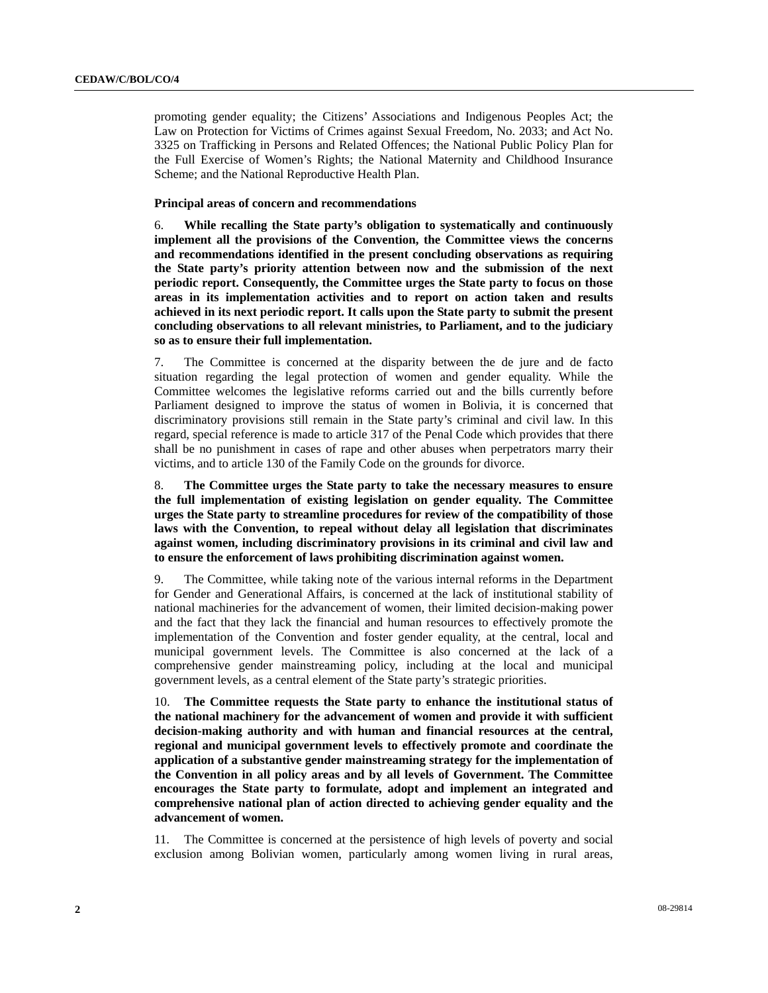promoting gender equality; the Citizens' Associations and Indigenous Peoples Act; the Law on Protection for Victims of Crimes against Sexual Freedom, No. 2033; and Act No. 3325 on Trafficking in Persons and Related Offences; the National Public Policy Plan for the Full Exercise of Women's Rights; the National Maternity and Childhood Insurance Scheme; and the National Reproductive Health Plan.

#### **Principal areas of concern and recommendations**

6. **While recalling the State party's obligation to systematically and continuously implement all the provisions of the Convention, the Committee views the concerns and recommendations identified in the present concluding observations as requiring the State party's priority attention between now and the submission of the next periodic report. Consequently, the Committee urges the State party to focus on those areas in its implementation activities and to report on action taken and results achieved in its next periodic report. It calls upon the State party to submit the present concluding observations to all relevant ministries, to Parliament, and to the judiciary so as to ensure their full implementation.**

7. The Committee is concerned at the disparity between the de jure and de facto situation regarding the legal protection of women and gender equality. While the Committee welcomes the legislative reforms carried out and the bills currently before Parliament designed to improve the status of women in Bolivia, it is concerned that discriminatory provisions still remain in the State party's criminal and civil law. In this regard, special reference is made to article 317 of the Penal Code which provides that there shall be no punishment in cases of rape and other abuses when perpetrators marry their victims, and to article 130 of the Family Code on the grounds for divorce.

8. **The Committee urges the State party to take the necessary measures to ensure the full implementation of existing legislation on gender equality. The Committee urges the State party to streamline procedures for review of the compatibility of those laws with the Convention, to repeal without delay all legislation that discriminates against women, including discriminatory provisions in its criminal and civil law and to ensure the enforcement of laws prohibiting discrimination against women.** 

9. The Committee, while taking note of the various internal reforms in the Department for Gender and Generational Affairs, is concerned at the lack of institutional stability of national machineries for the advancement of women, their limited decision-making power and the fact that they lack the financial and human resources to effectively promote the implementation of the Convention and foster gender equality, at the central, local and municipal government levels. The Committee is also concerned at the lack of a comprehensive gender mainstreaming policy, including at the local and municipal government levels, as a central element of the State party's strategic priorities.

10. **The Committee requests the State party to enhance the institutional status of the national machinery for the advancement of women and provide it with sufficient decision-making authority and with human and financial resources at the central, regional and municipal government levels to effectively promote and coordinate the application of a substantive gender mainstreaming strategy for the implementation of the Convention in all policy areas and by all levels of Government. The Committee encourages the State party to formulate, adopt and implement an integrated and comprehensive national plan of action directed to achieving gender equality and the advancement of women.** 

11. The Committee is concerned at the persistence of high levels of poverty and social exclusion among Bolivian women, particularly among women living in rural areas,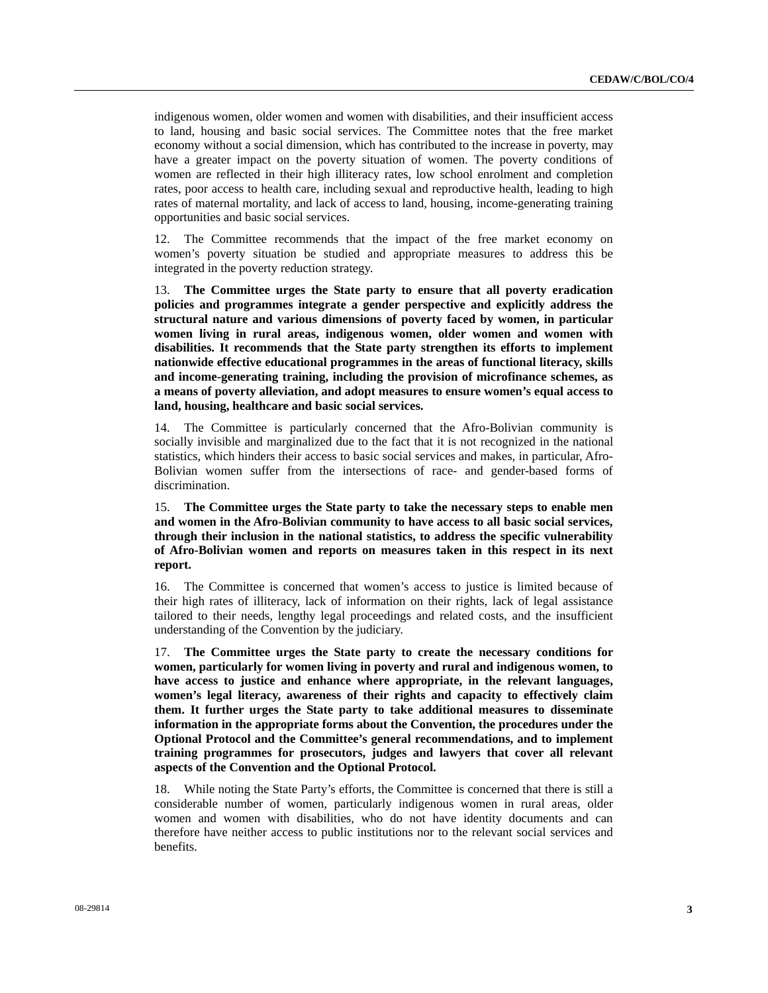indigenous women, older women and women with disabilities, and their insufficient access to land, housing and basic social services. The Committee notes that the free market economy without a social dimension, which has contributed to the increase in poverty, may have a greater impact on the poverty situation of women. The poverty conditions of women are reflected in their high illiteracy rates, low school enrolment and completion rates, poor access to health care, including sexual and reproductive health, leading to high rates of maternal mortality, and lack of access to land, housing, income-generating training opportunities and basic social services.

12. The Committee recommends that the impact of the free market economy on women's poverty situation be studied and appropriate measures to address this be integrated in the poverty reduction strategy.

13. **The Committee urges the State party to ensure that all poverty eradication policies and programmes integrate a gender perspective and explicitly address the structural nature and various dimensions of poverty faced by women, in particular women living in rural areas, indigenous women, older women and women with disabilities. It recommends that the State party strengthen its efforts to implement nationwide effective educational programmes in the areas of functional literacy, skills and income-generating training, including the provision of microfinance schemes, as a means of poverty alleviation, and adopt measures to ensure women's equal access to land, housing, healthcare and basic social services.** 

14. The Committee is particularly concerned that the Afro-Bolivian community is socially invisible and marginalized due to the fact that it is not recognized in the national statistics, which hinders their access to basic social services and makes, in particular, Afro-Bolivian women suffer from the intersections of race- and gender-based forms of discrimination.

15. **The Committee urges the State party to take the necessary steps to enable men and women in the Afro-Bolivian community to have access to all basic social services, through their inclusion in the national statistics, to address the specific vulnerability of Afro-Bolivian women and reports on measures taken in this respect in its next report.** 

16. The Committee is concerned that women's access to justice is limited because of their high rates of illiteracy, lack of information on their rights, lack of legal assistance tailored to their needs, lengthy legal proceedings and related costs, and the insufficient understanding of the Convention by the judiciary.

17. **The Committee urges the State party to create the necessary conditions for women, particularly for women living in poverty and rural and indigenous women, to have access to justice and enhance where appropriate, in the relevant languages, women's legal literacy, awareness of their rights and capacity to effectively claim them. It further urges the State party to take additional measures to disseminate information in the appropriate forms about the Convention, the procedures under the Optional Protocol and the Committee's general recommendations, and to implement training programmes for prosecutors, judges and lawyers that cover all relevant aspects of the Convention and the Optional Protocol.** 

18. While noting the State Party's efforts, the Committee is concerned that there is still a considerable number of women, particularly indigenous women in rural areas, older women and women with disabilities, who do not have identity documents and can therefore have neither access to public institutions nor to the relevant social services and benefits.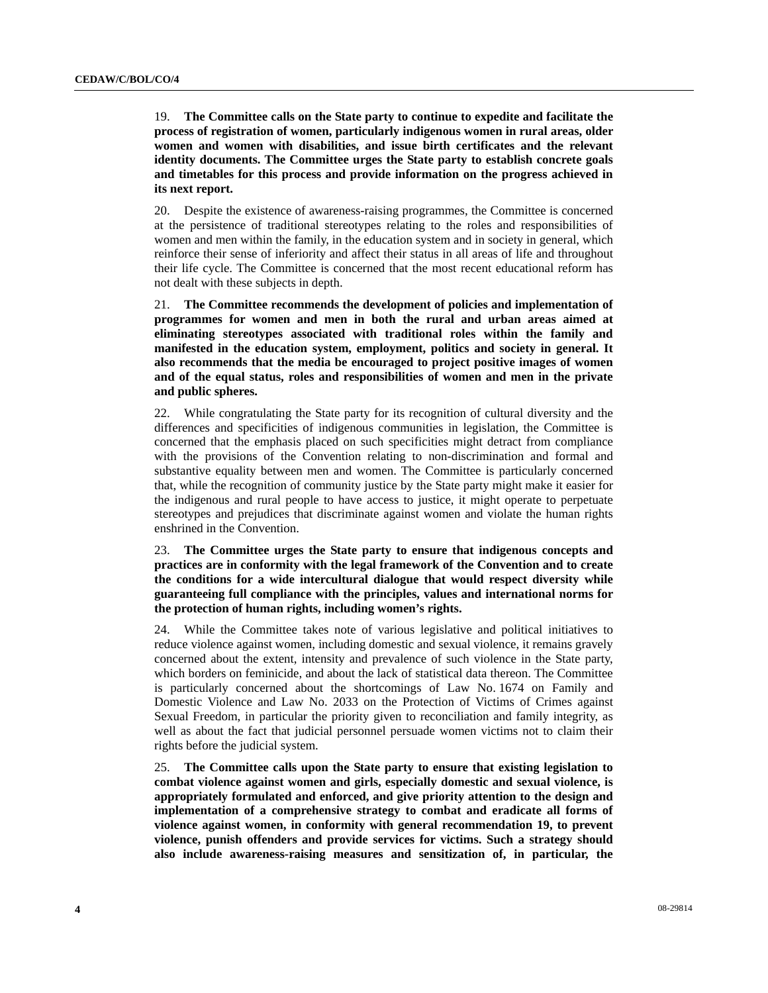19. **The Committee calls on the State party to continue to expedite and facilitate the process of registration of women, particularly indigenous women in rural areas, older women and women with disabilities, and issue birth certificates and the relevant identity documents. The Committee urges the State party to establish concrete goals and timetables for this process and provide information on the progress achieved in its next report.** 

20. Despite the existence of awareness-raising programmes, the Committee is concerned at the persistence of traditional stereotypes relating to the roles and responsibilities of women and men within the family, in the education system and in society in general, which reinforce their sense of inferiority and affect their status in all areas of life and throughout their life cycle. The Committee is concerned that the most recent educational reform has not dealt with these subjects in depth.

21. **The Committee recommends the development of policies and implementation of programmes for women and men in both the rural and urban areas aimed at eliminating stereotypes associated with traditional roles within the family and manifested in the education system, employment, politics and society in general. It also recommends that the media be encouraged to project positive images of women and of the equal status, roles and responsibilities of women and men in the private and public spheres.** 

22. While congratulating the State party for its recognition of cultural diversity and the differences and specificities of indigenous communities in legislation, the Committee is concerned that the emphasis placed on such specificities might detract from compliance with the provisions of the Convention relating to non-discrimination and formal and substantive equality between men and women. The Committee is particularly concerned that, while the recognition of community justice by the State party might make it easier for the indigenous and rural people to have access to justice, it might operate to perpetuate stereotypes and prejudices that discriminate against women and violate the human rights enshrined in the Convention.

23. **The Committee urges the State party to ensure that indigenous concepts and practices are in conformity with the legal framework of the Convention and to create the conditions for a wide intercultural dialogue that would respect diversity while guaranteeing full compliance with the principles, values and international norms for the protection of human rights, including women's rights.** 

24. While the Committee takes note of various legislative and political initiatives to reduce violence against women, including domestic and sexual violence, it remains gravely concerned about the extent, intensity and prevalence of such violence in the State party, which borders on feminicide, and about the lack of statistical data thereon. The Committee is particularly concerned about the shortcomings of Law No. 1674 on Family and Domestic Violence and Law No. 2033 on the Protection of Victims of Crimes against Sexual Freedom, in particular the priority given to reconciliation and family integrity, as well as about the fact that judicial personnel persuade women victims not to claim their rights before the judicial system.

25. **The Committee calls upon the State party to ensure that existing legislation to combat violence against women and girls, especially domestic and sexual violence, is appropriately formulated and enforced, and give priority attention to the design and implementation of a comprehensive strategy to combat and eradicate all forms of violence against women, in conformity with general recommendation 19, to prevent violence, punish offenders and provide services for victims. Such a strategy should also include awareness-raising measures and sensitization of, in particular, the**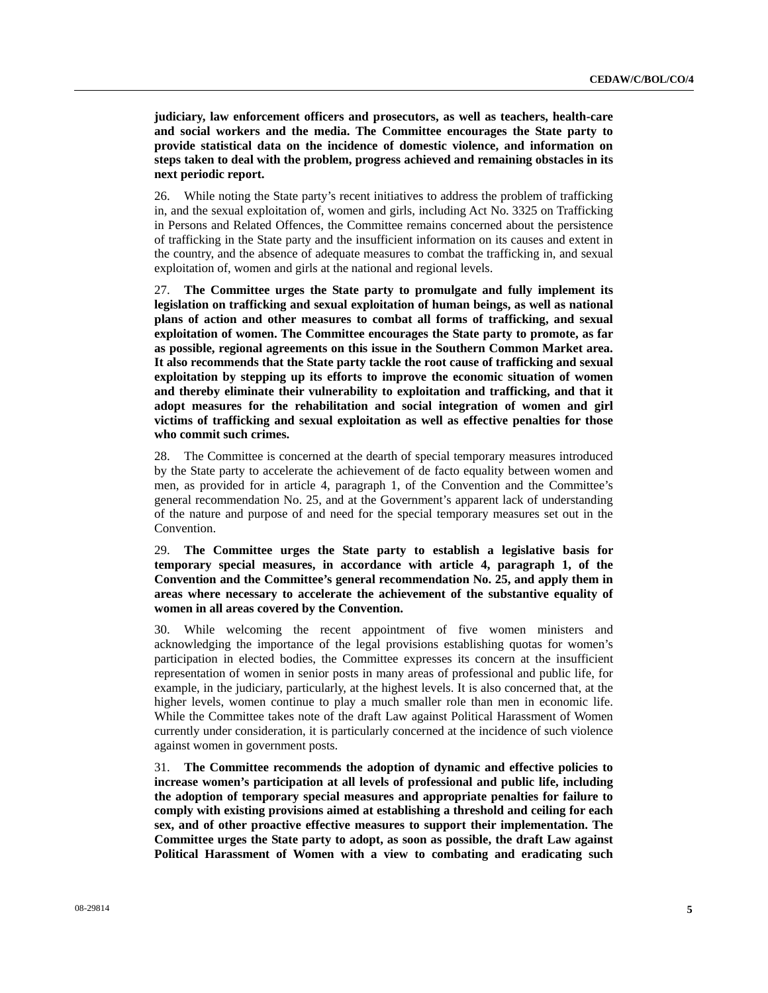**judiciary, law enforcement officers and prosecutors, as well as teachers, health-care and social workers and the media. The Committee encourages the State party to provide statistical data on the incidence of domestic violence, and information on steps taken to deal with the problem, progress achieved and remaining obstacles in its next periodic report.** 

26. While noting the State party's recent initiatives to address the problem of trafficking in, and the sexual exploitation of, women and girls, including Act No. 3325 on Trafficking in Persons and Related Offences, the Committee remains concerned about the persistence of trafficking in the State party and the insufficient information on its causes and extent in the country, and the absence of adequate measures to combat the trafficking in, and sexual exploitation of, women and girls at the national and regional levels.

27. **The Committee urges the State party to promulgate and fully implement its legislation on trafficking and sexual exploitation of human beings, as well as national plans of action and other measures to combat all forms of trafficking, and sexual exploitation of women. The Committee encourages the State party to promote, as far as possible, regional agreements on this issue in the Southern Common Market area. It also recommends that the State party tackle the root cause of trafficking and sexual exploitation by stepping up its efforts to improve the economic situation of women and thereby eliminate their vulnerability to exploitation and trafficking, and that it adopt measures for the rehabilitation and social integration of women and girl victims of trafficking and sexual exploitation as well as effective penalties for those who commit such crimes.** 

28. The Committee is concerned at the dearth of special temporary measures introduced by the State party to accelerate the achievement of de facto equality between women and men, as provided for in article 4, paragraph 1, of the Convention and the Committee's general recommendation No. 25, and at the Government's apparent lack of understanding of the nature and purpose of and need for the special temporary measures set out in the Convention.

29. **The Committee urges the State party to establish a legislative basis for temporary special measures, in accordance with article 4, paragraph 1, of the Convention and the Committee's general recommendation No. 25, and apply them in areas where necessary to accelerate the achievement of the substantive equality of women in all areas covered by the Convention.** 

30. While welcoming the recent appointment of five women ministers and acknowledging the importance of the legal provisions establishing quotas for women's participation in elected bodies, the Committee expresses its concern at the insufficient representation of women in senior posts in many areas of professional and public life, for example, in the judiciary, particularly, at the highest levels. It is also concerned that, at the higher levels, women continue to play a much smaller role than men in economic life. While the Committee takes note of the draft Law against Political Harassment of Women currently under consideration, it is particularly concerned at the incidence of such violence against women in government posts.

31. **The Committee recommends the adoption of dynamic and effective policies to increase women's participation at all levels of professional and public life, including the adoption of temporary special measures and appropriate penalties for failure to comply with existing provisions aimed at establishing a threshold and ceiling for each sex, and of other proactive effective measures to support their implementation. The Committee urges the State party to adopt, as soon as possible, the draft Law against Political Harassment of Women with a view to combating and eradicating such**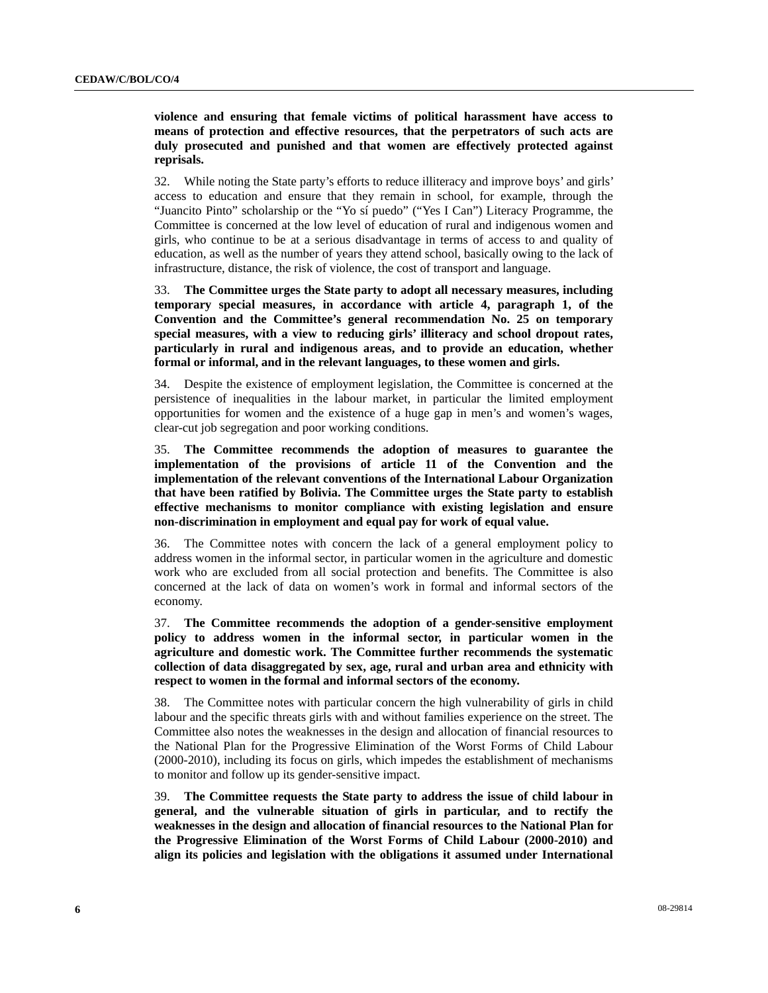**violence and ensuring that female victims of political harassment have access to means of protection and effective resources, that the perpetrators of such acts are duly prosecuted and punished and that women are effectively protected against reprisals.** 

32. While noting the State party's efforts to reduce illiteracy and improve boys' and girls' access to education and ensure that they remain in school, for example, through the "Juancito Pinto" scholarship or the "Yo sí puedo" ("Yes I Can") Literacy Programme, the Committee is concerned at the low level of education of rural and indigenous women and girls, who continue to be at a serious disadvantage in terms of access to and quality of education, as well as the number of years they attend school, basically owing to the lack of infrastructure, distance, the risk of violence, the cost of transport and language.

33. **The Committee urges the State party to adopt all necessary measures, including temporary special measures, in accordance with article 4, paragraph 1, of the Convention and the Committee's general recommendation No. 25 on temporary special measures, with a view to reducing girls' illiteracy and school dropout rates, particularly in rural and indigenous areas, and to provide an education, whether formal or informal, and in the relevant languages, to these women and girls.** 

34. Despite the existence of employment legislation, the Committee is concerned at the persistence of inequalities in the labour market, in particular the limited employment opportunities for women and the existence of a huge gap in men's and women's wages, clear-cut job segregation and poor working conditions.

35. **The Committee recommends the adoption of measures to guarantee the implementation of the provisions of article 11 of the Convention and the implementation of the relevant conventions of the International Labour Organization that have been ratified by Bolivia. The Committee urges the State party to establish effective mechanisms to monitor compliance with existing legislation and ensure non-discrimination in employment and equal pay for work of equal value.** 

36. The Committee notes with concern the lack of a general employment policy to address women in the informal sector, in particular women in the agriculture and domestic work who are excluded from all social protection and benefits. The Committee is also concerned at the lack of data on women's work in formal and informal sectors of the economy.

37. **The Committee recommends the adoption of a gender-sensitive employment policy to address women in the informal sector, in particular women in the agriculture and domestic work. The Committee further recommends the systematic collection of data disaggregated by sex, age, rural and urban area and ethnicity with respect to women in the formal and informal sectors of the economy.** 

38. The Committee notes with particular concern the high vulnerability of girls in child labour and the specific threats girls with and without families experience on the street. The Committee also notes the weaknesses in the design and allocation of financial resources to the National Plan for the Progressive Elimination of the Worst Forms of Child Labour (2000-2010), including its focus on girls, which impedes the establishment of mechanisms to monitor and follow up its gender-sensitive impact.

39. **The Committee requests the State party to address the issue of child labour in general, and the vulnerable situation of girls in particular, and to rectify the weaknesses in the design and allocation of financial resources to the National Plan for the Progressive Elimination of the Worst Forms of Child Labour (2000-2010) and align its policies and legislation with the obligations it assumed under International**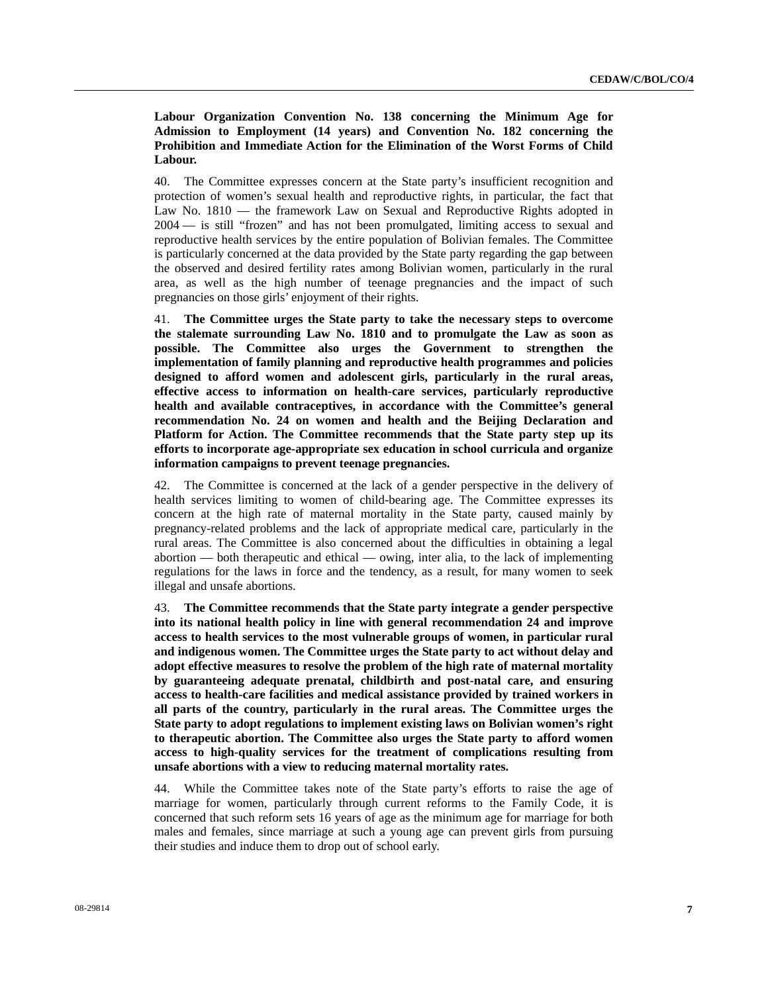**Labour Organization Convention No. 138 concerning the Minimum Age for Admission to Employment (14 years) and Convention No. 182 concerning the Prohibition and Immediate Action for the Elimination of the Worst Forms of Child Labour.** 

40. The Committee expresses concern at the State party's insufficient recognition and protection of women's sexual health and reproductive rights, in particular, the fact that Law No. 1810 — the framework Law on Sexual and Reproductive Rights adopted in 2004 — is still "frozen" and has not been promulgated, limiting access to sexual and reproductive health services by the entire population of Bolivian females. The Committee is particularly concerned at the data provided by the State party regarding the gap between the observed and desired fertility rates among Bolivian women, particularly in the rural area, as well as the high number of teenage pregnancies and the impact of such pregnancies on those girls' enjoyment of their rights.

41. **The Committee urges the State party to take the necessary steps to overcome the stalemate surrounding Law No. 1810 and to promulgate the Law as soon as possible. The Committee also urges the Government to strengthen the implementation of family planning and reproductive health programmes and policies designed to afford women and adolescent girls, particularly in the rural areas, effective access to information on health-care services, particularly reproductive health and available contraceptives, in accordance with the Committee's general recommendation No. 24 on women and health and the Beijing Declaration and Platform for Action. The Committee recommends that the State party step up its efforts to incorporate age-appropriate sex education in school curricula and organize information campaigns to prevent teenage pregnancies.** 

42. The Committee is concerned at the lack of a gender perspective in the delivery of health services limiting to women of child-bearing age. The Committee expresses its concern at the high rate of maternal mortality in the State party, caused mainly by pregnancy-related problems and the lack of appropriate medical care, particularly in the rural areas. The Committee is also concerned about the difficulties in obtaining a legal abortion — both therapeutic and ethical — owing, inter alia, to the lack of implementing regulations for the laws in force and the tendency, as a result, for many women to seek illegal and unsafe abortions.

43. **The Committee recommends that the State party integrate a gender perspective into its national health policy in line with general recommendation 24 and improve access to health services to the most vulnerable groups of women, in particular rural and indigenous women. The Committee urges the State party to act without delay and adopt effective measures to resolve the problem of the high rate of maternal mortality by guaranteeing adequate prenatal, childbirth and post-natal care, and ensuring access to health-care facilities and medical assistance provided by trained workers in all parts of the country, particularly in the rural areas. The Committee urges the State party to adopt regulations to implement existing laws on Bolivian women's right to therapeutic abortion. The Committee also urges the State party to afford women access to high-quality services for the treatment of complications resulting from unsafe abortions with a view to reducing maternal mortality rates.** 

44. While the Committee takes note of the State party's efforts to raise the age of marriage for women, particularly through current reforms to the Family Code, it is concerned that such reform sets 16 years of age as the minimum age for marriage for both males and females, since marriage at such a young age can prevent girls from pursuing their studies and induce them to drop out of school early.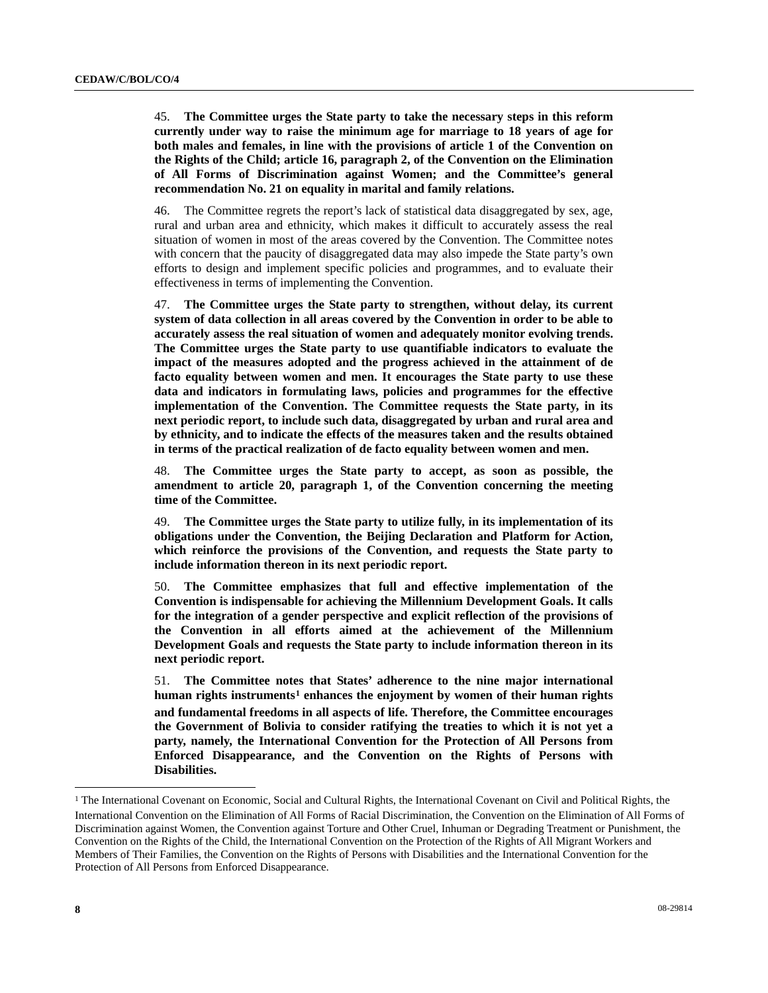45. **The Committee urges the State party to take the necessary steps in this reform currently under way to raise the minimum age for marriage to 18 years of age for both males and females, in line with the provisions of article 1 of the Convention on the Rights of the Child; article 16, paragraph 2, of the Convention on the Elimination of All Forms of Discrimination against Women; and the Committee's general recommendation No. 21 on equality in marital and family relations.** 

46. The Committee regrets the report's lack of statistical data disaggregated by sex, age, rural and urban area and ethnicity, which makes it difficult to accurately assess the real situation of women in most of the areas covered by the Convention. The Committee notes with concern that the paucity of disaggregated data may also impede the State party's own efforts to design and implement specific policies and programmes, and to evaluate their effectiveness in terms of implementing the Convention.

47. **The Committee urges the State party to strengthen, without delay, its current system of data collection in all areas covered by the Convention in order to be able to accurately assess the real situation of women and adequately monitor evolving trends. The Committee urges the State party to use quantifiable indicators to evaluate the impact of the measures adopted and the progress achieved in the attainment of de facto equality between women and men. It encourages the State party to use these data and indicators in formulating laws, policies and programmes for the effective implementation of the Convention. The Committee requests the State party, in its next periodic report, to include such data, disaggregated by urban and rural area and by ethnicity, and to indicate the effects of the measures taken and the results obtained in terms of the practical realization of de facto equality between women and men.** 

48. **The Committee urges the State party to accept, as soon as possible, the amendment to article 20, paragraph 1, of the Convention concerning the meeting time of the Committee.** 

49. **The Committee urges the State party to utilize fully, in its implementation of its obligations under the Convention, the Beijing Declaration and Platform for Action, which reinforce the provisions of the Convention, and requests the State party to include information thereon in its next periodic report.** 

50. **The Committee emphasizes that full and effective implementation of the Convention is indispensable for achieving the Millennium Development Goals. It calls for the integration of a gender perspective and explicit reflection of the provisions of the Convention in all efforts aimed at the achievement of the Millennium Development Goals and requests the State party to include information thereon in its next periodic report.** 

51. **The Committee notes that States' adherence to the nine major international human rights instruments[1](#page-7-0) enhances the enjoyment by women of their human rights and fundamental freedoms in all aspects of life. Therefore, the Committee encourages the Government of Bolivia to consider ratifying the treaties to which it is not yet a party, namely, the International Convention for the Protection of All Persons from Enforced Disappearance, and the Convention on the Rights of Persons with Disabilities.** 

l

<span id="page-7-0"></span><sup>&</sup>lt;sup>1</sup> The International Covenant on Economic, Social and Cultural Rights, the International Covenant on Civil and Political Rights, the International Convention on the Elimination of All Forms of Racial Discrimination, the Convention on the Elimination of All Forms of Discrimination against Women, the Convention against Torture and Other Cruel, Inhuman or Degrading Treatment or Punishment, the Convention on the Rights of the Child, the International Convention on the Protection of the Rights of All Migrant Workers and Members of Their Families, the Convention on the Rights of Persons with Disabilities and the International Convention for the Protection of All Persons from Enforced Disappearance.